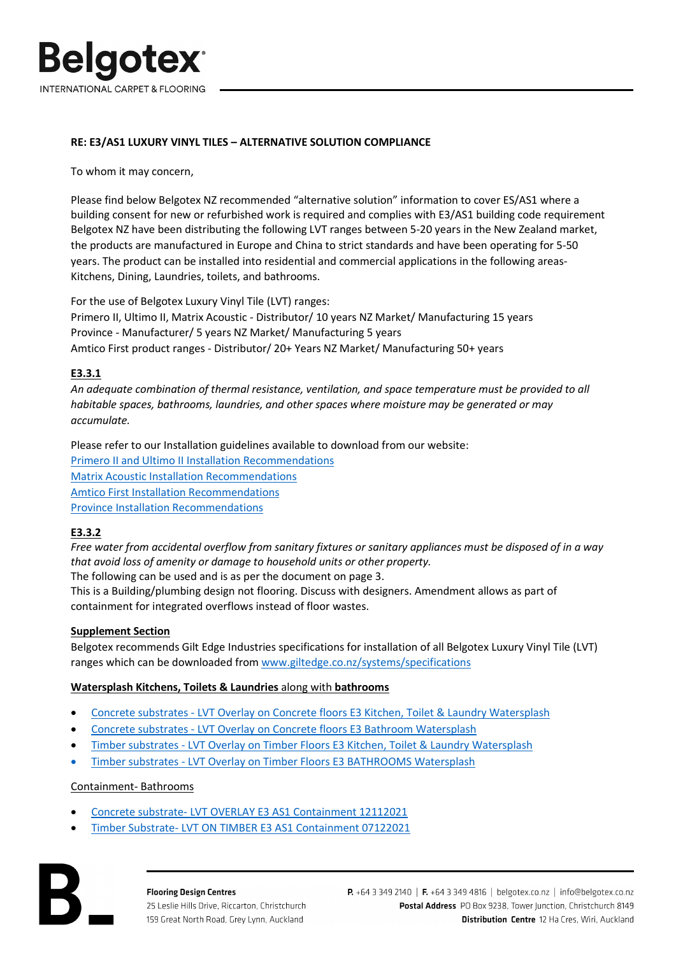

## **RE: E3/AS1 LUXURY VINYL TILES – ALTERNATIVE SOLUTION COMPLIANCE**

To whom it may concern,

Please find below Belgotex NZ recommended "alternative solution" information to cover ES/AS1 where a building consent for new or refurbished work is required and complies with E3/AS1 building code requirement Belgotex NZ have been distributing the following LVT ranges between 5-20 years in the New Zealand market, the products are manufactured in Europe and China to strict standards and have been operating for 5-50 years. The product can be installed into residential and commercial applications in the following areas-Kitchens, Dining, Laundries, toilets, and bathrooms.

For the use of Belgotex Luxury Vinyl Tile (LVT) ranges: Primero II, Ultimo II, Matrix Acoustic - Distributor/ 10 years NZ Market/ Manufacturing 15 years Province - Manufacturer/ 5 years NZ Market/ Manufacturing 5 years Amtico First product ranges - Distributor/ 20+ Years NZ Market/ Manufacturing 50+ years

## **E3.3.1**

*An adequate combination of thermal resistance, ventilation, and space temperature must be provided to all habitable spaces, bathrooms, laundries, and other spaces where moisture may be generated or may accumulate.* 

Please refer to our Installation guidelines available to download from our website: Primero II and [Ultimo II Installation](https://belgotex.co.nz/assets/Uploads/Installation-Instructions/6d53e92a67/Primero-II-and-Ultimo-II-Installation-Recommendations.pdf) Recommendations Matrix Acoustic Installation [Recommendations](https://belgotex.co.nz/assets/Uploads/Installation-Instructions/a7ae7f90e3/Matrix-Acoustic-Installation-Recommendations.pdf) Amtico First [Installation Recommendations](https://belgotex.co.nz/assets/Uploads/Installation-Instructions/Amtico-First-Signature-Spacia-Installation-Instructions.pdf) [Province Installation Recommendations](https://belgotex.co.nz/assets/Uploads/Installation-Instructions/Province-Installation-Recommendations.pdf)

## **E3.3.2**

*Free water from accidental overflow from sanitary fixtures or sanitary appliances must be disposed of in a way that avoid loss of amenity or damage to household units or other property.* 

The following can be used and is as per the document on page 3.

This is a Building/plumbing design not flooring. Discuss with designers. Amendment allows as part of containment for integrated overflows instead of floor wastes.

## **Supplement Section**

Belgotex recommends Gilt Edge Industries specifications for installation of all Belgotex Luxury Vinyl Tile (LVT) ranges which can be downloaded fro[m www.giltedge.co.nz/systems/specifications](https://giltedge.co.nz/systems/specifications)

## **Watersplash Kitchens, Toilets & Laundries** along with **bathrooms**

- [Concrete substrates LVT Overlay on Concrete floors E3 Kitchen, Toilet & Laundry Watersplash](https://giltedge.co.nz/download/luxury-vinyl-tile-e3-as1-lvt-ktl-watersplash-12112021?wpdmdl=10777&refresh=622e9455270411647219797)
- [Concrete substrates LVT Overlay on Concrete floors E3 Bathroom Watersplash](https://giltedge.co.nz/download/luxury-vinyl-tile-e3-as1-lvt-bathrooms-watersplash-12112021?wpdmdl=10775&refresh=622e94553c18e1647219797)
- [Timber substrates LVT Overlay on Timber Floors E3 Kitchen, Toilet & Laundry Watersplash](https://giltedge.co.nz/download/luxury-vinyl-tile-on-timber-floor-e3-as1-lvt-ktl-watersplash-02122021?wpdmdl=10797&refresh=622e9454d47c71647219796)
- [Timber substrates LVT Overlay on Timber Floors E3 BATHROOMS Watersplash](https://giltedge.co.nz/download/luxury-vinyl-tile-on-timber-floors-e3-as1-lvt-bathrooms-watersplash-02122021?wpdmdl=10799&refresh=622e9454bdcf51647219796)

## Containment- Bathrooms

- [Concrete substrate- LVT OVERLAY E3 AS1 Containment 12112021](https://giltedge.co.nz/download/luxury-vinyl-tile-e3-as1-lvt-containment-12112021?wpdmdl=10773&refresh=623242c8a845e1647461064)
- [Timber Substrate- LVT ON TIMBER E3 AS1 Containment 07122021](https://giltedge.co.nz/download/luxury-vinyl-tile-on-timber-floors-e3-as1-lvt-containment-01122021?wpdmdl=10802&refresh=623242c844aa71647461064)

**Flooring Design Centres** 25 Leslie Hills Drive, Riccarton, Christchurch 159 Great North Road, Grey Lynn, Auckland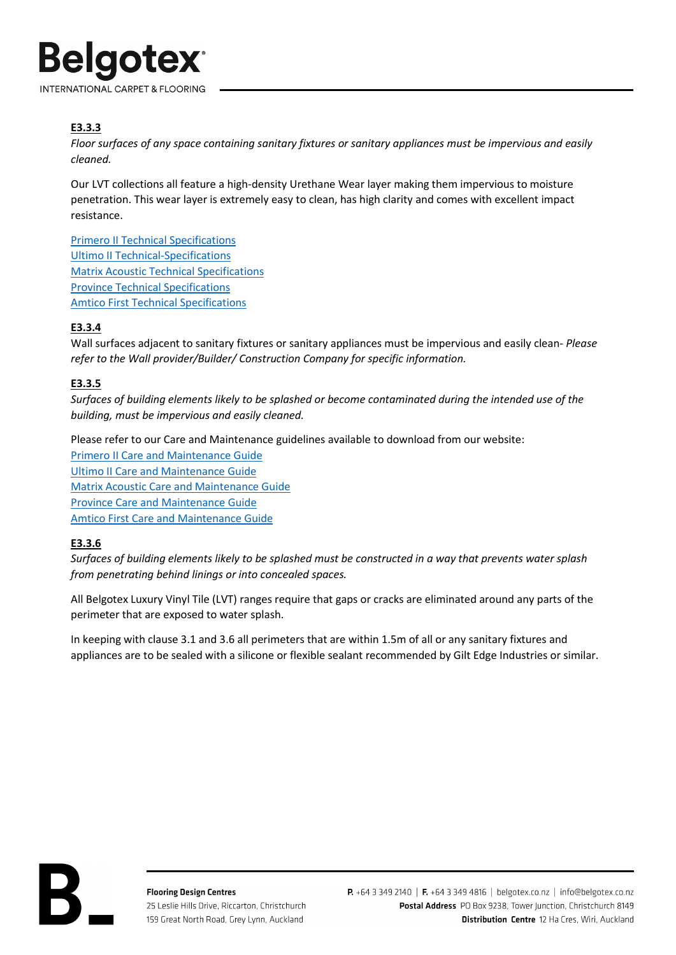

# **E3.3.3**

*Floor surfaces of any space containing sanitary fixtures or sanitary appliances must be impervious and easily cleaned.* 

Our LVT collections all feature a high-density Urethane Wear layer making them impervious to moisture penetration. This wear layer is extremely easy to clean, has high clarity and comes with excellent impact resistance.

Primero II Technical [Specifications](https://belgotex.co.nz/assets/Uploads/Tech-Specs/Primero-II-Technical-Specifications.pdf) Ultimo II [Technical-Specifications](https://belgotex.co.nz/assets/Uploads/Tech-Specs/Ultimo-II-Technical-Specifications.pdf) Matrix Acoustic Technical [Specifications](https://belgotex.co.nz/assets/Uploads/Tech-Specs/6bef9623b9/Matrix-Acoustic-Technical-Specifications.pdf) Province Technical [Specifications](https://belgotex.co.nz/assets/Uploads/Tech-Specs/ee9167b0cf/Province-Technical-Specifications.pdf) Amtico First Technical [Specifications](https://belgotex.co.nz/assets/Uploads/Tech-Specs/ce937b6209/Amtico-First-Technical-Specifications.pdf)

# **E3.3.4**

Wall surfaces adjacent to sanitary fixtures or sanitary appliances must be impervious and easily clean- *Please refer to the Wall provider/Builder/ Construction Company for specific information.*

## **E3.3.5**

*Surfaces of building elements likely to be splashed or become contaminated during the intended use of the building, must be impervious and easily cleaned.* 

Please refer to our Care and Maintenance guidelines available to download from our website:

Primero II Care and [Maintenance Guide](https://belgotex.co.nz/assets/Uploads/Care-Maintenance/d5b0bda420/Primero-II-Care-and-Maintenance.pdf)  Ultimo II Care and [Maintenance Guide](https://belgotex.co.nz/assets/Uploads/Care-Maintenance/5c0b32ff44/Ultimo-II-Care-and-Maintenance.pdf) Matrix Acoustic Care and [Maintenance Guide](https://belgotex.co.nz/assets/Uploads/Care-Maintenance/68dd163845/Matrix-Acoustic-Care-and-Maintenance.pdf) Province Care [and Maintenance Guide](https://belgotex.co.nz/assets/Uploads/Care-Maintenance/63cb6b2405/Province-Care-Maintenance.pdf) Amtico First Care [and Maintenance Guide](https://belgotex.co.nz/assets/Uploads/Care-Maintenance/929ef9f81b/Amtico-First-Care-Maintenance.pdf)

## **E3.3.6**

*Surfaces of building elements likely to be splashed must be constructed in a way that prevents water splash from penetrating behind linings or into concealed spaces.* 

All Belgotex Luxury Vinyl Tile (LVT) ranges require that gaps or cracks are eliminated around any parts of the perimeter that are exposed to water splash.

In keeping with clause 3.1 and 3.6 all perimeters that are within 1.5m of all or any sanitary fixtures and appliances are to be sealed with a silicone or flexible sealant recommended by Gilt Edge Industries or similar.